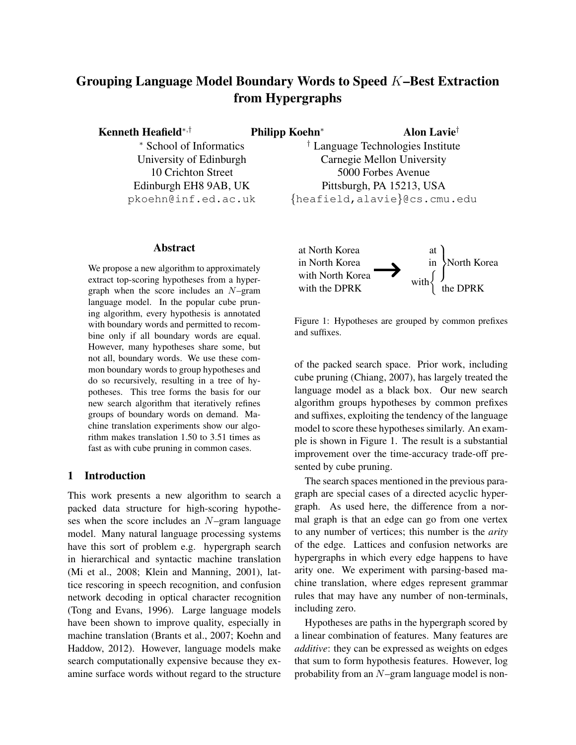# Grouping Language Model Boundary Words to Speed K–Best Extraction from Hypergraphs

Kenneth Heafield<sup>∗,†</sup> Philipp Koehn<sup>∗</sup> Alon Lavie<sup>†</sup>

<sup>∗</sup> School of Informatics University of Edinburgh 10 Crichton Street Edinburgh EH8 9AB, UK pkoehn@inf.ed.ac.uk

# Abstract

We propose a new algorithm to approximately extract top-scoring hypotheses from a hypergraph when the score includes an  $N$ –gram language model. In the popular cube pruning algorithm, every hypothesis is annotated with boundary words and permitted to recombine only if all boundary words are equal. However, many hypotheses share some, but not all, boundary words. We use these common boundary words to group hypotheses and do so recursively, resulting in a tree of hypotheses. This tree forms the basis for our new search algorithm that iteratively refines groups of boundary words on demand. Machine translation experiments show our algorithm makes translation 1.50 to 3.51 times as fast as with cube pruning in common cases.

# 1 Introduction

This work presents a new algorithm to search a packed data structure for high-scoring hypotheses when the score includes an N–gram language model. Many natural language processing systems have this sort of problem e.g. hypergraph search in hierarchical and syntactic machine translation (Mi et al., 2008; Klein and Manning, 2001), lattice rescoring in speech recognition, and confusion network decoding in optical character recognition (Tong and Evans, 1996). Large language models have been shown to improve quality, especially in machine translation (Brants et al., 2007; Koehn and Haddow, 2012). However, language models make search computationally expensive because they examine surface words without regard to the structure

† Language Technologies Institute Carnegie Mellon University 5000 Forbes Avenue Pittsburgh, PA 15213, USA {heafield,alavie}@cs.cmu.edu



Figure 1: Hypotheses are grouped by common prefixes and suffixes.

of the packed search space. Prior work, including cube pruning (Chiang, 2007), has largely treated the language model as a black box. Our new search algorithm groups hypotheses by common prefixes and suffixes, exploiting the tendency of the language model to score these hypotheses similarly. An example is shown in Figure 1. The result is a substantial improvement over the time-accuracy trade-off presented by cube pruning.

The search spaces mentioned in the previous paragraph are special cases of a directed acyclic hypergraph. As used here, the difference from a normal graph is that an edge can go from one vertex to any number of vertices; this number is the *arity* of the edge. Lattices and confusion networks are hypergraphs in which every edge happens to have arity one. We experiment with parsing-based machine translation, where edges represent grammar rules that may have any number of non-terminals, including zero.

Hypotheses are paths in the hypergraph scored by a linear combination of features. Many features are *additive*: they can be expressed as weights on edges that sum to form hypothesis features. However, log probability from an N–gram language model is non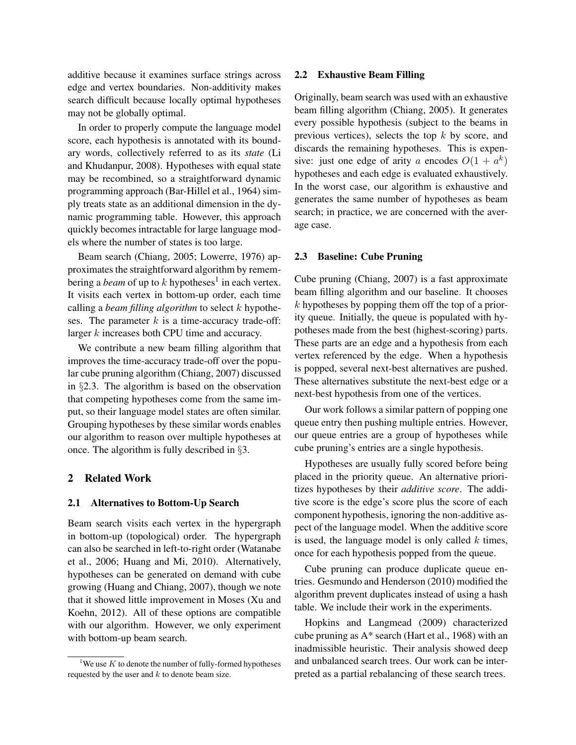additive because it examines surface strings across edge and vertex boundaries. Non-additivity makes search difficult because locally optimal hypotheses may not be globally optimal.

In order to properly compute the language model score, each hypothesis is annotated with its boundary words, collectively referred to as its *state* (Li and Khudanpur, 2008). Hypotheses with equal state may be recombined, so a straightforward dynamic programming approach (Bar-Hillel et al., 1964) simply treats state as an additional dimension in the dynamic programming table. However, this approach quickly becomes intractable for large language models where the number of states is too large.

Beam search (Chiang, 2005; Lowerre, 1976) approximates the straightforward algorithm by remembering a *beam* of up to  $k$  hypotheses<sup>1</sup> in each vertex. It visits each vertex in bottom-up order, each time calling a *beam filling algorithm* to select k hypotheses. The parameter  $k$  is a time-accuracy trade-off: larger k increases both CPU time and accuracy.

We contribute a new beam filling algorithm that improves the time-accuracy trade-off over the popular cube pruning algorithm (Chiang, 2007) discussed in §2.3. The algorithm is based on the observation that competing hypotheses come from the same imput, so their language model states are often similar. Grouping hypotheses by these similar words enables our algorithm to reason over multiple hypotheses at once. The algorithm is fully described in §3.

# 2 Related Work

#### 2.1 Alternatives to Bottom-Up Search

Beam search visits each vertex in the hypergraph in bottom-up (topological) order. The hypergraph can also be searched in left-to-right order (Watanabe et al., 2006; Huang and Mi, 2010). Alternatively, hypotheses can be generated on demand with cube growing (Huang and Chiang, 2007), though we note that it showed little improvement in Moses (Xu and Koehn, 2012). All of these options are compatible with our algorithm. However, we only experiment with bottom-up beam search.

#### 2.2 Exhaustive Beam Filling

Originally, beam search was used with an exhaustive beam filling algorithm (Chiang, 2005). It generates every possible hypothesis (subject to the beams in previous vertices), selects the top  $k$  by score, and discards the remaining hypotheses. This is expensive: just one edge of arity a encodes  $O(1 + a^k)$ hypotheses and each edge is evaluated exhaustively. In the worst case, our algorithm is exhaustive and generates the same number of hypotheses as beam search; in practice, we are concerned with the average case.

#### 2.3 Baseline: Cube Pruning

Cube pruning (Chiang, 2007) is a fast approximate beam filling algorithm and our baseline. It chooses  $k$  hypotheses by popping them off the top of a priority queue. Initially, the queue is populated with hypotheses made from the best (highest-scoring) parts. These parts are an edge and a hypothesis from each vertex referenced by the edge. When a hypothesis is popped, several next-best alternatives are pushed. These alternatives substitute the next-best edge or a next-best hypothesis from one of the vertices.

Our work follows a similar pattern of popping one queue entry then pushing multiple entries. However, our queue entries are a group of hypotheses while cube pruning's entries are a single hypothesis.

Hypotheses are usually fully scored before being placed in the priority queue. An alternative prioritizes hypotheses by their *additive score*. The additive score is the edge's score plus the score of each component hypothesis, ignoring the non-additive aspect of the language model. When the additive score is used, the language model is only called  $k$  times, once for each hypothesis popped from the queue.

Cube pruning can produce duplicate queue entries. Gesmundo and Henderson (2010) modified the algorithm prevent duplicates instead of using a hash table. We include their work in the experiments.

Hopkins and Langmead (2009) characterized cube pruning as A\* search (Hart et al., 1968) with an inadmissible heuristic. Their analysis showed deep and unbalanced search trees. Our work can be interpreted as a partial rebalancing of these search trees.

<sup>&</sup>lt;sup>1</sup>We use K to denote the number of fully-formed hypotheses requested by the user and  $k$  to denote beam size.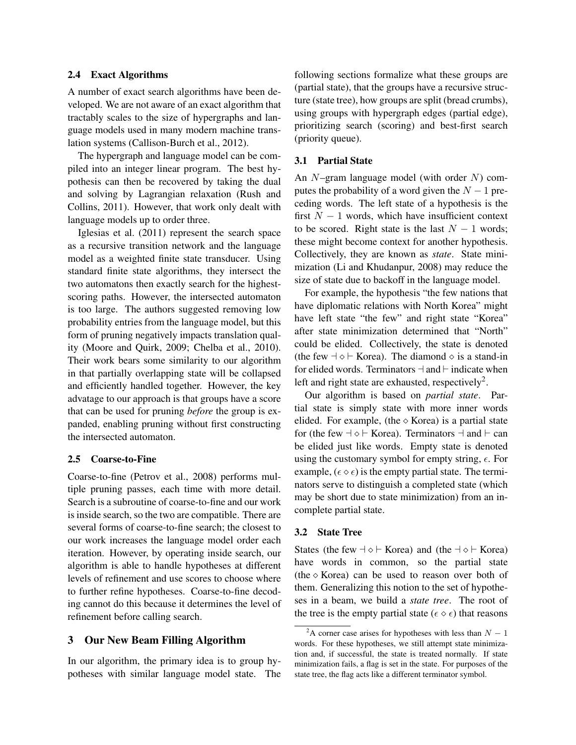# 2.4 Exact Algorithms

A number of exact search algorithms have been developed. We are not aware of an exact algorithm that tractably scales to the size of hypergraphs and language models used in many modern machine translation systems (Callison-Burch et al., 2012).

The hypergraph and language model can be compiled into an integer linear program. The best hypothesis can then be recovered by taking the dual and solving by Lagrangian relaxation (Rush and Collins, 2011). However, that work only dealt with language models up to order three.

Iglesias et al. (2011) represent the search space as a recursive transition network and the language model as a weighted finite state transducer. Using standard finite state algorithms, they intersect the two automatons then exactly search for the highestscoring paths. However, the intersected automaton is too large. The authors suggested removing low probability entries from the language model, but this form of pruning negatively impacts translation quality (Moore and Quirk, 2009; Chelba et al., 2010). Their work bears some similarity to our algorithm in that partially overlapping state will be collapsed and efficiently handled together. However, the key advatage to our approach is that groups have a score that can be used for pruning *before* the group is expanded, enabling pruning without first constructing the intersected automaton.

#### 2.5 Coarse-to-Fine

Coarse-to-fine (Petrov et al., 2008) performs multiple pruning passes, each time with more detail. Search is a subroutine of coarse-to-fine and our work is inside search, so the two are compatible. There are several forms of coarse-to-fine search; the closest to our work increases the language model order each iteration. However, by operating inside search, our algorithm is able to handle hypotheses at different levels of refinement and use scores to choose where to further refine hypotheses. Coarse-to-fine decoding cannot do this because it determines the level of refinement before calling search.

# 3 Our New Beam Filling Algorithm

In our algorithm, the primary idea is to group hypotheses with similar language model state. The following sections formalize what these groups are (partial state), that the groups have a recursive structure (state tree), how groups are split (bread crumbs), using groups with hypergraph edges (partial edge), prioritizing search (scoring) and best-first search (priority queue).

### 3.1 Partial State

An  $N$ –gram language model (with order  $N$ ) computes the probability of a word given the  $N - 1$  preceding words. The left state of a hypothesis is the first  $N - 1$  words, which have insufficient context to be scored. Right state is the last  $N - 1$  words; these might become context for another hypothesis. Collectively, they are known as *state*. State minimization (Li and Khudanpur, 2008) may reduce the size of state due to backoff in the language model.

For example, the hypothesis "the few nations that have diplomatic relations with North Korea" might have left state "the few" and right state "Korea" after state minimization determined that "North" could be elided. Collectively, the state is denoted (the few  $\exists \diamond \vdash$  Korea). The diamond  $\diamond$  is a stand-in for elided words. Terminators  $\dashv$  and  $\vdash$  indicate when left and right state are exhausted, respectively<sup>2</sup>.

Our algorithm is based on *partial state*. Partial state is simply state with more inner words elided. For example, (the  $\diamond$  Korea) is a partial state for (the few  $\exists \diamond \vdash$  Korea). Terminators  $\exists$  and  $\vdash$  can be elided just like words. Empty state is denoted using the customary symbol for empty string,  $\epsilon$ . For example,  $(\epsilon \diamond \epsilon)$  is the empty partial state. The terminators serve to distinguish a completed state (which may be short due to state minimization) from an incomplete partial state.

# 3.2 State Tree

States (the few  $\neg \Diamond \vdash$  Korea) and (the  $\neg \Diamond \vdash$  Korea) have words in common, so the partial state (the  $\Diamond$  Korea) can be used to reason over both of them. Generalizing this notion to the set of hypotheses in a beam, we build a *state tree*. The root of the tree is the empty partial state ( $\epsilon \diamond \epsilon$ ) that reasons

<sup>&</sup>lt;sup>2</sup>A corner case arises for hypotheses with less than  $N - 1$ words. For these hypotheses, we still attempt state minimization and, if successful, the state is treated normally. If state minimization fails, a flag is set in the state. For purposes of the state tree, the flag acts like a different terminator symbol.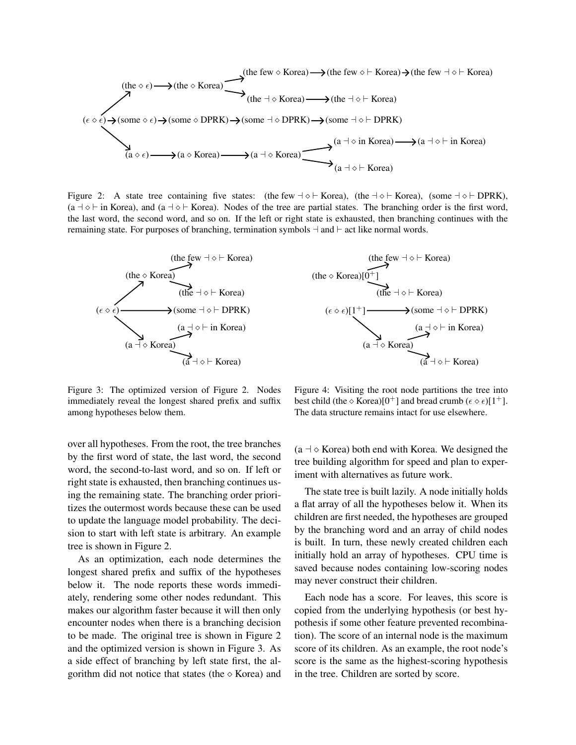( ) (a ) (a Korea) (a a Korea) (a a ` Korea) (a a in Korea) (a a ` in Korea) (some ) (some DPRK) (some a DPRK) (some a ` DPRK) (the ) (the Korea) (the a Korea) (the a ` Korea) (the few Korea) (the few ` Korea) (the few a ` Korea)

Figure 2: A state tree containing five states: (the few  $\exists \diamond \vdash$  Korea), (the  $\exists \diamond \vdash$  Korea), (some  $\exists \diamond \vdash$  DPRK),  $(a + \diamond + in Korea)$ , and  $(a + \diamond + Korea)$ . Nodes of the tree are partial states. The branching order is the first word, the last word, the second word, and so on. If the left or right state is exhausted, then branching continues with the remaining state. For purposes of branching, termination symbols  $\neg$  and  $\vdash$  act like normal words.



Figure 3: The optimized version of Figure 2. Nodes immediately reveal the longest shared prefix and suffix among hypotheses below them.

over all hypotheses. From the root, the tree branches by the first word of state, the last word, the second word, the second-to-last word, and so on. If left or right state is exhausted, then branching continues using the remaining state. The branching order prioritizes the outermost words because these can be used to update the language model probability. The decision to start with left state is arbitrary. An example tree is shown in Figure 2.

As an optimization, each node determines the longest shared prefix and suffix of the hypotheses below it. The node reports these words immediately, rendering some other nodes redundant. This makes our algorithm faster because it will then only encounter nodes when there is a branching decision to be made. The original tree is shown in Figure 2 and the optimized version is shown in Figure 3. As a side effect of branching by left state first, the algorithm did not notice that states (the  $\Diamond$  Korea) and



Figure 4: Visiting the root node partitions the tree into best child (the  $\Diamond$  Korea)[0<sup>+</sup>] and bread crumb ( $\epsilon \Diamond \epsilon$ )[1<sup>+</sup>]. The data structure remains intact for use elsewhere.

 $(a \rightarrow \infty$  Korea) both end with Korea. We designed the tree building algorithm for speed and plan to experiment with alternatives as future work.

The state tree is built lazily. A node initially holds a flat array of all the hypotheses below it. When its children are first needed, the hypotheses are grouped by the branching word and an array of child nodes is built. In turn, these newly created children each initially hold an array of hypotheses. CPU time is saved because nodes containing low-scoring nodes may never construct their children.

Each node has a score. For leaves, this score is copied from the underlying hypothesis (or best hypothesis if some other feature prevented recombination). The score of an internal node is the maximum score of its children. As an example, the root node's score is the same as the highest-scoring hypothesis in the tree. Children are sorted by score.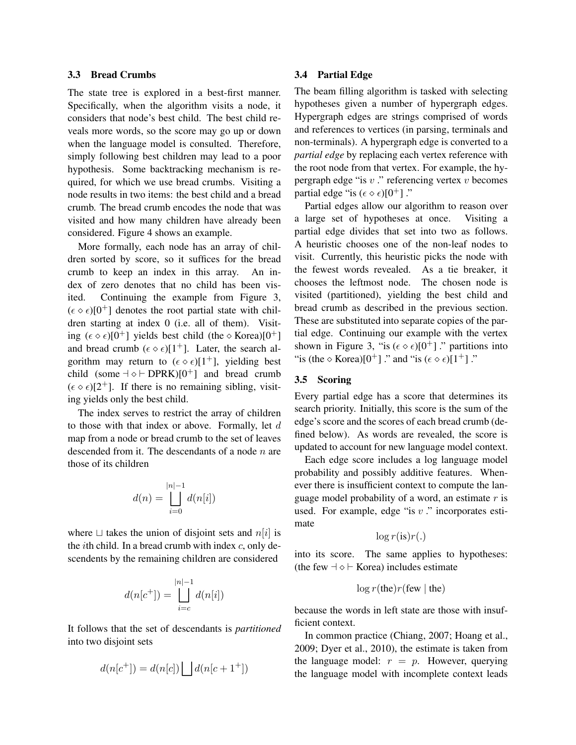# 3.3 Bread Crumbs

The state tree is explored in a best-first manner. Specifically, when the algorithm visits a node, it considers that node's best child. The best child reveals more words, so the score may go up or down when the language model is consulted. Therefore, simply following best children may lead to a poor hypothesis. Some backtracking mechanism is required, for which we use bread crumbs. Visiting a node results in two items: the best child and a bread crumb. The bread crumb encodes the node that was visited and how many children have already been considered. Figure 4 shows an example.

More formally, each node has an array of children sorted by score, so it suffices for the bread crumb to keep an index in this array. An index of zero denotes that no child has been visited. Continuing the example from Figure 3,  $(\epsilon \diamond \epsilon)[0^+]$  denotes the root partial state with children starting at index 0 (i.e. all of them). Visiting  $(\epsilon \circ \epsilon)[0^+]$  yields best child (the  $\circ$  Korea)[0<sup>+</sup>] and bread crumb  $(\epsilon \diamond \epsilon)[1^+]$ . Later, the search algorithm may return to  $(\epsilon \diamond \epsilon)[1^+]$ , yielding best child (some  $\exists \diamond \vdash$  DPRK)[0<sup>+</sup>] and bread crumb  $(\epsilon \diamond \epsilon)[2^+]$ . If there is no remaining sibling, visiting yields only the best child.

The index serves to restrict the array of children to those with that index or above. Formally, let d map from a node or bread crumb to the set of leaves descended from it. The descendants of a node  $n$  are those of its children

$$
d(n) = \bigsqcup_{i=0}^{|n|-1} d(n[i])
$$

where  $\Box$  takes the union of disjoint sets and  $n[i]$  is the *i*th child. In a bread crumb with index  $c$ , only descendents by the remaining children are considered

$$
d(n[c^+]) = \bigsqcup_{i=c}^{|n|-1} d(n[i])
$$

It follows that the set of descendants is *partitioned* into two disjoint sets

$$
d(n[c^+]) = d(n[c]) \bigsqcup d(n[c+1^+])
$$

### 3.4 Partial Edge

The beam filling algorithm is tasked with selecting hypotheses given a number of hypergraph edges. Hypergraph edges are strings comprised of words and references to vertices (in parsing, terminals and non-terminals). A hypergraph edge is converted to a *partial edge* by replacing each vertex reference with the root node from that vertex. For example, the hypergraph edge "is  $v$ " referencing vertex  $v$  becomes partial edge "is  $(\epsilon \diamond \epsilon)[0^+]$  ."

Partial edges allow our algorithm to reason over a large set of hypotheses at once. Visiting a partial edge divides that set into two as follows. A heuristic chooses one of the non-leaf nodes to visit. Currently, this heuristic picks the node with the fewest words revealed. As a tie breaker, it chooses the leftmost node. The chosen node is visited (partitioned), yielding the best child and bread crumb as described in the previous section. These are substituted into separate copies of the partial edge. Continuing our example with the vertex shown in Figure 3, "is  $(\epsilon \diamond \epsilon)[0^+]$  ." partitions into "is (the  $\circ$  Korea)[0<sup>+</sup>]." and "is ( $\epsilon \circ \epsilon$ )[1<sup>+</sup>]."

#### 3.5 Scoring

Every partial edge has a score that determines its search priority. Initially, this score is the sum of the edge's score and the scores of each bread crumb (defined below). As words are revealed, the score is updated to account for new language model context.

Each edge score includes a log language model probability and possibly additive features. Whenever there is insufficient context to compute the language model probability of a word, an estimate  $r$  is used. For example, edge "is  $v$ ." incorporates estimate

$$
\log r(\text{is})r(.)
$$

into its score. The same applies to hypotheses: (the few  $\exists \diamond \vdash$  Korea) includes estimate

$$
\log r(\text{the})r(\text{few} | \text{the})
$$

because the words in left state are those with insufficient context.

In common practice (Chiang, 2007; Hoang et al., 2009; Dyer et al., 2010), the estimate is taken from the language model:  $r = p$ . However, querying the language model with incomplete context leads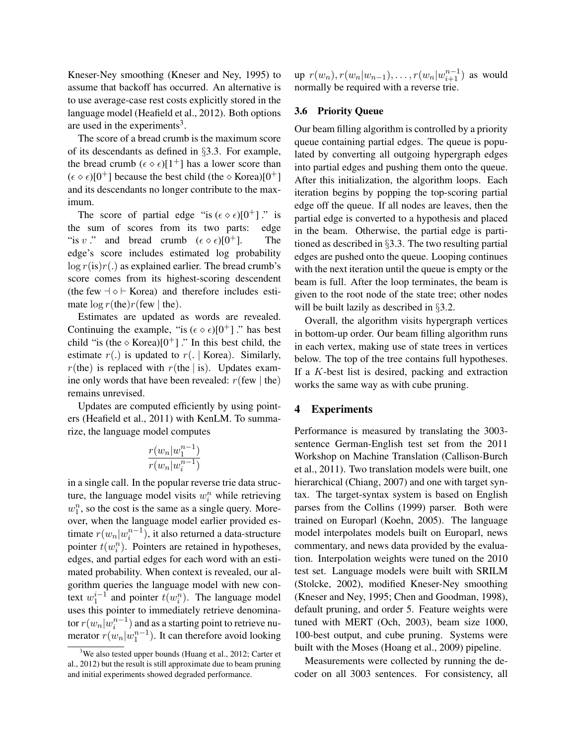Kneser-Ney smoothing (Kneser and Ney, 1995) to assume that backoff has occurred. An alternative is to use average-case rest costs explicitly stored in the language model (Heafield et al., 2012). Both options are used in the experiments<sup>3</sup>.

The score of a bread crumb is the maximum score of its descendants as defined in §3.3. For example, the bread crumb  $(\epsilon \circ \epsilon)[1^+]$  has a lower score than  $(\epsilon \diamond \epsilon)[0^+]$  because the best child (the  $\diamond$  Korea)[0<sup>+</sup>] and its descendants no longer contribute to the maximum.

The score of partial edge "is  $(\epsilon \diamond \epsilon)[0^+]$ " is the sum of scores from its two parts: edge "is v ." and bread crumb  $(\epsilon \circ \epsilon)[0^+]$ . The edge's score includes estimated log probability  $\log r(\text{is})r(\text{.)}$  as explained earlier. The bread crumb's score comes from its highest-scoring descendent (the few  $\neg \Diamond \vdash$  Korea) and therefore includes estimate  $\log r$ (the)r(few | the).

Estimates are updated as words are revealed. Continuing the example, "is  $(\epsilon \diamond \epsilon)[0^+]$ " has best child "is (the  $\circ$  Korea)[0<sup>+</sup>]." In this best child, the estimate  $r(.)$  is updated to  $r(.)$  Korea). Similarly,  $r$ (the) is replaced with  $r$ (the | is). Updates examine only words that have been revealed:  $r$ (few | the) remains unrevised.

Updates are computed efficiently by using pointers (Heafield et al., 2011) with KenLM. To summarize, the language model computes

$$
\frac{r(w_n|w_1^{n-1})}{r(w_n|w_i^{n-1})}
$$

in a single call. In the popular reverse trie data structure, the language model visits  $w_i^n$  while retrieving  $w_1^n$ , so the cost is the same as a single query. Moreover, when the language model earlier provided estimate  $r(w_n|w_i^{n-1})$ , it also returned a data-structure pointer  $t(w_i^n)$ . Pointers are retained in hypotheses, edges, and partial edges for each word with an estimated probability. When context is revealed, our algorithm queries the language model with new context  $w_1^{i-1}$  and pointer  $t(w_i^n)$ . The language model uses this pointer to immediately retrieve denominator  $r(w_n|w_i^{n-1})$  and as a starting point to retrieve numerator  $r(w_n|w_1^{n-1})$ . It can therefore avoid looking

up  $r(w_n)$ ,  $r(w_n|w_{n-1})$ , ...,  $r(w_n|w_{i+1}^{n-1})$  as would normally be required with a reverse trie.

### 3.6 Priority Queue

Our beam filling algorithm is controlled by a priority queue containing partial edges. The queue is populated by converting all outgoing hypergraph edges into partial edges and pushing them onto the queue. After this initialization, the algorithm loops. Each iteration begins by popping the top-scoring partial edge off the queue. If all nodes are leaves, then the partial edge is converted to a hypothesis and placed in the beam. Otherwise, the partial edge is partitioned as described in §3.3. The two resulting partial edges are pushed onto the queue. Looping continues with the next iteration until the queue is empty or the beam is full. After the loop terminates, the beam is given to the root node of the state tree; other nodes will be built lazily as described in §3.2.

Overall, the algorithm visits hypergraph vertices in bottom-up order. Our beam filling algorithm runs in each vertex, making use of state trees in vertices below. The top of the tree contains full hypotheses. If a  $K$ -best list is desired, packing and extraction works the same way as with cube pruning.

# 4 Experiments

Performance is measured by translating the 3003 sentence German-English test set from the 2011 Workshop on Machine Translation (Callison-Burch et al., 2011). Two translation models were built, one hierarchical (Chiang, 2007) and one with target syntax. The target-syntax system is based on English parses from the Collins (1999) parser. Both were trained on Europarl (Koehn, 2005). The language model interpolates models built on Europarl, news commentary, and news data provided by the evaluation. Interpolation weights were tuned on the 2010 test set. Language models were built with SRILM (Stolcke, 2002), modified Kneser-Ney smoothing (Kneser and Ney, 1995; Chen and Goodman, 1998), default pruning, and order 5. Feature weights were tuned with MERT (Och, 2003), beam size 1000, 100-best output, and cube pruning. Systems were built with the Moses (Hoang et al., 2009) pipeline.

Measurements were collected by running the decoder on all 3003 sentences. For consistency, all

 $3$ We also tested upper bounds (Huang et al., 2012; Carter et al., 2012) but the result is still approximate due to beam pruning and initial experiments showed degraded performance.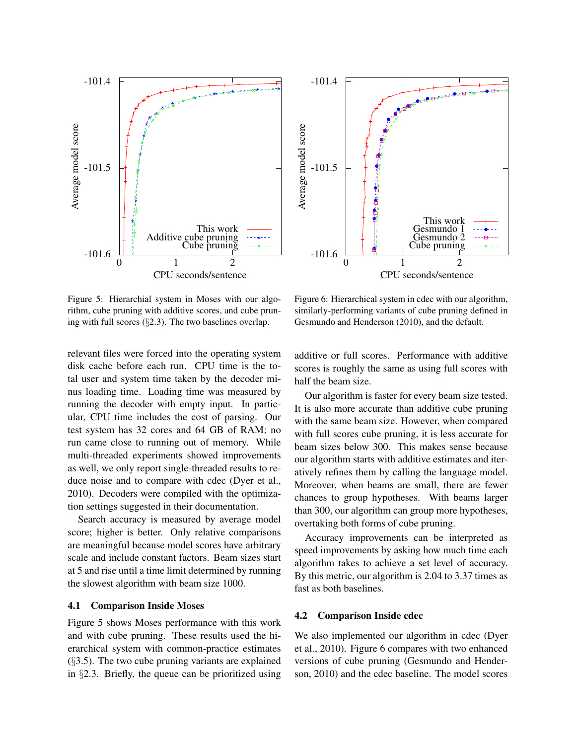



Figure 5: Hierarchial system in Moses with our algorithm, cube pruning with additive scores, and cube pruning with full scores (§2.3). The two baselines overlap.

relevant files were forced into the operating system disk cache before each run. CPU time is the total user and system time taken by the decoder minus loading time. Loading time was measured by running the decoder with empty input. In particular, CPU time includes the cost of parsing. Our test system has 32 cores and 64 GB of RAM; no run came close to running out of memory. While multi-threaded experiments showed improvements as well, we only report single-threaded results to reduce noise and to compare with cdec (Dyer et al., 2010). Decoders were compiled with the optimization settings suggested in their documentation.

Search accuracy is measured by average model score; higher is better. Only relative comparisons are meaningful because model scores have arbitrary scale and include constant factors. Beam sizes start at 5 and rise until a time limit determined by running the slowest algorithm with beam size 1000.

### 4.1 Comparison Inside Moses

Figure 5 shows Moses performance with this work and with cube pruning. These results used the hierarchical system with common-practice estimates  $(\S 3.5)$ . The two cube pruning variants are explained in §2.3. Briefly, the queue can be prioritized using

Figure 6: Hierarchical system in cdec with our algorithm, similarly-performing variants of cube pruning defined in Gesmundo and Henderson (2010), and the default.

additive or full scores. Performance with additive scores is roughly the same as using full scores with half the beam size.

Our algorithm is faster for every beam size tested. It is also more accurate than additive cube pruning with the same beam size. However, when compared with full scores cube pruning, it is less accurate for beam sizes below 300. This makes sense because our algorithm starts with additive estimates and iteratively refines them by calling the language model. Moreover, when beams are small, there are fewer chances to group hypotheses. With beams larger than 300, our algorithm can group more hypotheses, overtaking both forms of cube pruning.

Accuracy improvements can be interpreted as speed improvements by asking how much time each algorithm takes to achieve a set level of accuracy. By this metric, our algorithm is 2.04 to 3.37 times as fast as both baselines.

### 4.2 Comparison Inside cdec

We also implemented our algorithm in cdec (Dyer et al., 2010). Figure 6 compares with two enhanced versions of cube pruning (Gesmundo and Henderson, 2010) and the cdec baseline. The model scores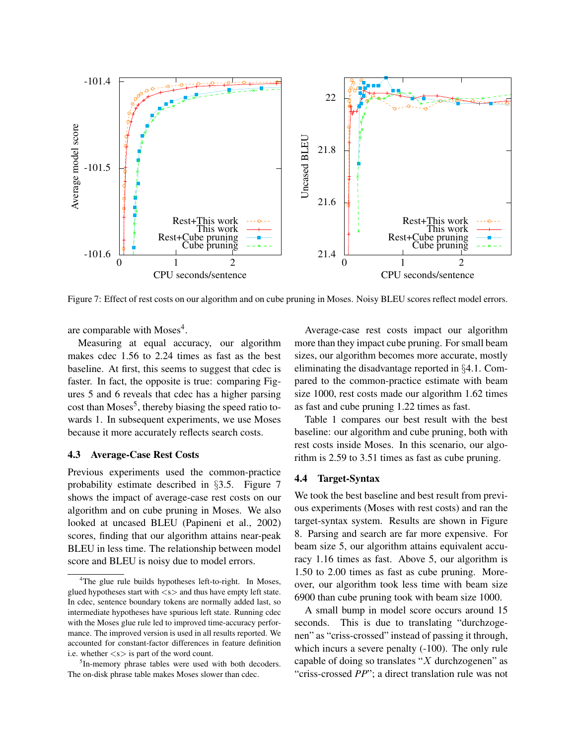

Figure 7: Effect of rest costs on our algorithm and on cube pruning in Moses. Noisy BLEU scores reflect model errors.

are comparable with Moses<sup>4</sup>.

Measuring at equal accuracy, our algorithm makes cdec 1.56 to 2.24 times as fast as the best baseline. At first, this seems to suggest that cdec is faster. In fact, the opposite is true: comparing Figures 5 and 6 reveals that cdec has a higher parsing cost than Moses<sup>5</sup>, thereby biasing the speed ratio towards 1. In subsequent experiments, we use Moses because it more accurately reflects search costs.

### 4.3 Average-Case Rest Costs

Previous experiments used the common-practice probability estimate described in §3.5. Figure 7 shows the impact of average-case rest costs on our algorithm and on cube pruning in Moses. We also looked at uncased BLEU (Papineni et al., 2002) scores, finding that our algorithm attains near-peak BLEU in less time. The relationship between model score and BLEU is noisy due to model errors.

Average-case rest costs impact our algorithm more than they impact cube pruning. For small beam sizes, our algorithm becomes more accurate, mostly eliminating the disadvantage reported in §4.1. Compared to the common-practice estimate with beam size 1000, rest costs made our algorithm 1.62 times as fast and cube pruning 1.22 times as fast.

Table 1 compares our best result with the best baseline: our algorithm and cube pruning, both with rest costs inside Moses. In this scenario, our algorithm is 2.59 to 3.51 times as fast as cube pruning.

#### 4.4 Target-Syntax

We took the best baseline and best result from previous experiments (Moses with rest costs) and ran the target-syntax system. Results are shown in Figure 8. Parsing and search are far more expensive. For beam size 5, our algorithm attains equivalent accuracy 1.16 times as fast. Above 5, our algorithm is 1.50 to 2.00 times as fast as cube pruning. Moreover, our algorithm took less time with beam size 6900 than cube pruning took with beam size 1000.

A small bump in model score occurs around 15 seconds. This is due to translating "durchzogenen" as "criss-crossed" instead of passing it through, which incurs a severe penalty (-100). The only rule capable of doing so translates " $X$  durchzogenen" as "criss-crossed *PP*"; a direct translation rule was not

<sup>&</sup>lt;sup>4</sup>The glue rule builds hypotheses left-to-right. In Moses, glued hypotheses start with  $\langle s \rangle$  and thus have empty left state. In cdec, sentence boundary tokens are normally added last, so intermediate hypotheses have spurious left state. Running cdec with the Moses glue rule led to improved time-accuracy performance. The improved version is used in all results reported. We accounted for constant-factor differences in feature definition i.e. whether  $\langle s \rangle$  is part of the word count.

<sup>&</sup>lt;sup>5</sup>In-memory phrase tables were used with both decoders. The on-disk phrase table makes Moses slower than cdec.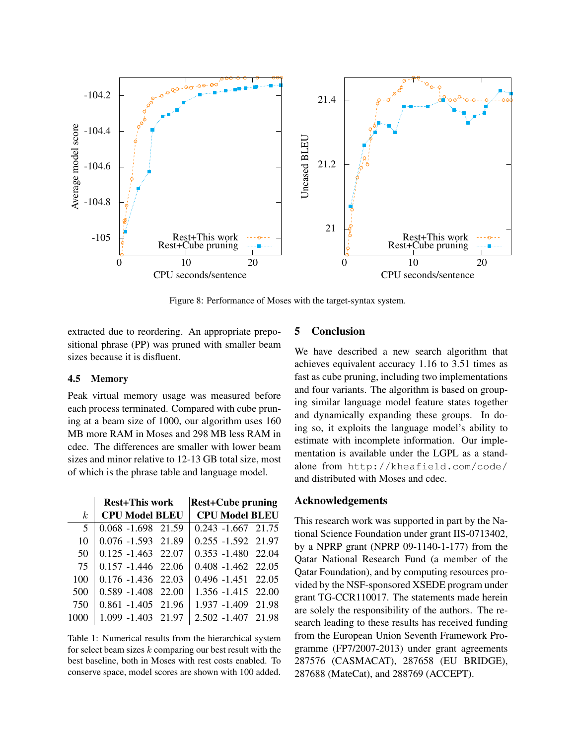

Figure 8: Performance of Moses with the target-syntax system.

extracted due to reordering. An appropriate prepositional phrase (PP) was pruned with smaller beam sizes because it is disfluent.

#### 4.5 Memory

Peak virtual memory usage was measured before each process terminated. Compared with cube pruning at a beam size of 1000, our algorithm uses 160 MB more RAM in Moses and 298 MB less RAM in cdec. The differences are smaller with lower beam sizes and minor relative to 12-13 GB total size, most of which is the phrase table and language model.

|                | <b>Rest+This work</b> |  | <b>Rest+Cube pruning</b> |  |
|----------------|-----------------------|--|--------------------------|--|
| k <sub>i</sub> | <b>CPU Model BLEU</b> |  | <b>CPU Model BLEU</b>    |  |
| 5              | 0.068 -1.698 21.59    |  | $0.243 - 1.667$ 21.75    |  |
| 10             | 0.076 -1.593 21.89    |  | 0.255 -1.592 21.97       |  |
| 50             | $0.125 - 1.463$ 22.07 |  | $0.353 - 1.480$ 22.04    |  |
| 75             | $0.157 - 1.446$ 22.06 |  | $0.408 - 1.462$ 22.05    |  |
| 100            | $0.176 - 1.436$ 22.03 |  | $0.496 - 1.451$ 22.05    |  |
| 500            | $0.589 - 1.408$ 22.00 |  | 1.356 -1.415 22.00       |  |
| 750            | 0.861 -1.405 21.96    |  | 1.937 -1.409 21.98       |  |
| 1000           | 1.099 -1.403 21.97    |  | 2.502 -1.407 21.98       |  |

Table 1: Numerical results from the hierarchical system for select beam sizes  $k$  comparing our best result with the best baseline, both in Moses with rest costs enabled. To conserve space, model scores are shown with 100 added.

# 5 Conclusion

We have described a new search algorithm that achieves equivalent accuracy 1.16 to 3.51 times as fast as cube pruning, including two implementations and four variants. The algorithm is based on grouping similar language model feature states together and dynamically expanding these groups. In doing so, it exploits the language model's ability to estimate with incomplete information. Our implementation is available under the LGPL as a standalone from http://kheafield.com/code/ and distributed with Moses and cdec.

# Acknowledgements

This research work was supported in part by the National Science Foundation under grant IIS-0713402, by a NPRP grant (NPRP 09-1140-1-177) from the Qatar National Research Fund (a member of the Qatar Foundation), and by computing resources provided by the NSF-sponsored XSEDE program under grant TG-CCR110017. The statements made herein are solely the responsibility of the authors. The research leading to these results has received funding from the European Union Seventh Framework Programme (FP7/2007-2013) under grant agreements 287576 (CASMACAT), 287658 (EU BRIDGE), 287688 (MateCat), and 288769 (ACCEPT).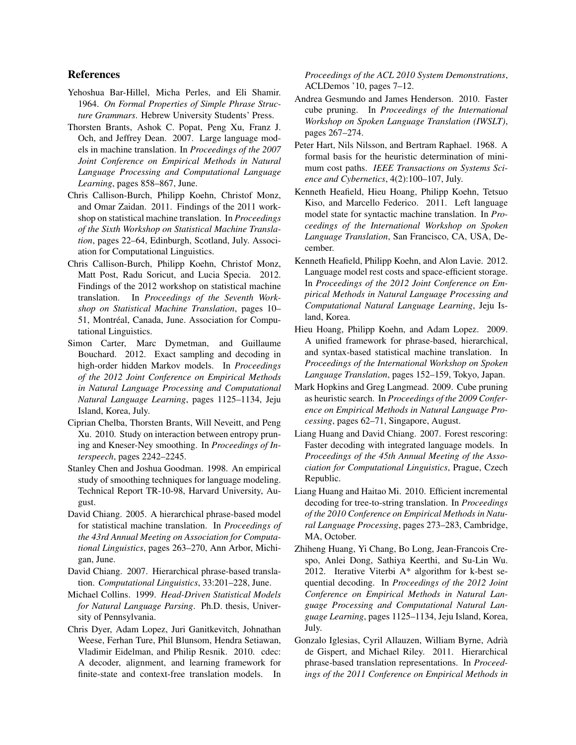# References

- Yehoshua Bar-Hillel, Micha Perles, and Eli Shamir. 1964. *On Formal Properties of Simple Phrase Structure Grammars*. Hebrew University Students' Press.
- Thorsten Brants, Ashok C. Popat, Peng Xu, Franz J. Och, and Jeffrey Dean. 2007. Large language models in machine translation. In *Proceedings of the 2007 Joint Conference on Empirical Methods in Natural Language Processing and Computational Language Learning*, pages 858–867, June.
- Chris Callison-Burch, Philipp Koehn, Christof Monz, and Omar Zaidan. 2011. Findings of the 2011 workshop on statistical machine translation. In *Proceedings of the Sixth Workshop on Statistical Machine Translation*, pages 22–64, Edinburgh, Scotland, July. Association for Computational Linguistics.
- Chris Callison-Burch, Philipp Koehn, Christof Monz, Matt Post, Radu Soricut, and Lucia Specia. 2012. Findings of the 2012 workshop on statistical machine translation. In *Proceedings of the Seventh Workshop on Statistical Machine Translation*, pages 10– 51, Montréal, Canada, June. Association for Computational Linguistics.
- Simon Carter, Marc Dymetman, and Guillaume Bouchard. 2012. Exact sampling and decoding in high-order hidden Markov models. In *Proceedings of the 2012 Joint Conference on Empirical Methods in Natural Language Processing and Computational Natural Language Learning*, pages 1125–1134, Jeju Island, Korea, July.
- Ciprian Chelba, Thorsten Brants, Will Neveitt, and Peng Xu. 2010. Study on interaction between entropy pruning and Kneser-Ney smoothing. In *Proceedings of Interspeech*, pages 2242–2245.
- Stanley Chen and Joshua Goodman. 1998. An empirical study of smoothing techniques for language modeling. Technical Report TR-10-98, Harvard University, August.
- David Chiang. 2005. A hierarchical phrase-based model for statistical machine translation. In *Proceedings of the 43rd Annual Meeting on Association for Computational Linguistics*, pages 263–270, Ann Arbor, Michigan, June.
- David Chiang. 2007. Hierarchical phrase-based translation. *Computational Linguistics*, 33:201–228, June.
- Michael Collins. 1999. *Head-Driven Statistical Models for Natural Language Parsing*. Ph.D. thesis, University of Pennsylvania.
- Chris Dyer, Adam Lopez, Juri Ganitkevitch, Johnathan Weese, Ferhan Ture, Phil Blunsom, Hendra Setiawan, Vladimir Eidelman, and Philip Resnik. 2010. cdec: A decoder, alignment, and learning framework for finite-state and context-free translation models. In

*Proceedings of the ACL 2010 System Demonstrations*, ACLDemos '10, pages 7–12.

- Andrea Gesmundo and James Henderson. 2010. Faster cube pruning. In *Proceedings of the International Workshop on Spoken Language Translation (IWSLT)*, pages 267–274.
- Peter Hart, Nils Nilsson, and Bertram Raphael. 1968. A formal basis for the heuristic determination of minimum cost paths. *IEEE Transactions on Systems Science and Cybernetics*, 4(2):100–107, July.
- Kenneth Heafield, Hieu Hoang, Philipp Koehn, Tetsuo Kiso, and Marcello Federico. 2011. Left language model state for syntactic machine translation. In *Proceedings of the International Workshop on Spoken Language Translation*, San Francisco, CA, USA, December.
- Kenneth Heafield, Philipp Koehn, and Alon Lavie. 2012. Language model rest costs and space-efficient storage. In *Proceedings of the 2012 Joint Conference on Empirical Methods in Natural Language Processing and Computational Natural Language Learning*, Jeju Island, Korea.
- Hieu Hoang, Philipp Koehn, and Adam Lopez. 2009. A unified framework for phrase-based, hierarchical, and syntax-based statistical machine translation. In *Proceedings of the International Workshop on Spoken Language Translation*, pages 152–159, Tokyo, Japan.
- Mark Hopkins and Greg Langmead. 2009. Cube pruning as heuristic search. In *Proceedings of the 2009 Conference on Empirical Methods in Natural Language Processing*, pages 62–71, Singapore, August.
- Liang Huang and David Chiang. 2007. Forest rescoring: Faster decoding with integrated language models. In *Proceedings of the 45th Annual Meeting of the Association for Computational Linguistics*, Prague, Czech Republic.
- Liang Huang and Haitao Mi. 2010. Efficient incremental decoding for tree-to-string translation. In *Proceedings of the 2010 Conference on Empirical Methods in Natural Language Processing*, pages 273–283, Cambridge, MA, October.
- Zhiheng Huang, Yi Chang, Bo Long, Jean-Francois Crespo, Anlei Dong, Sathiya Keerthi, and Su-Lin Wu. 2012. Iterative Viterbi A\* algorithm for k-best sequential decoding. In *Proceedings of the 2012 Joint Conference on Empirical Methods in Natural Language Processing and Computational Natural Language Learning*, pages 1125–1134, Jeju Island, Korea, July.
- Gonzalo Iglesias, Cyril Allauzen, William Byrne, Adria` de Gispert, and Michael Riley. 2011. Hierarchical phrase-based translation representations. In *Proceedings of the 2011 Conference on Empirical Methods in*